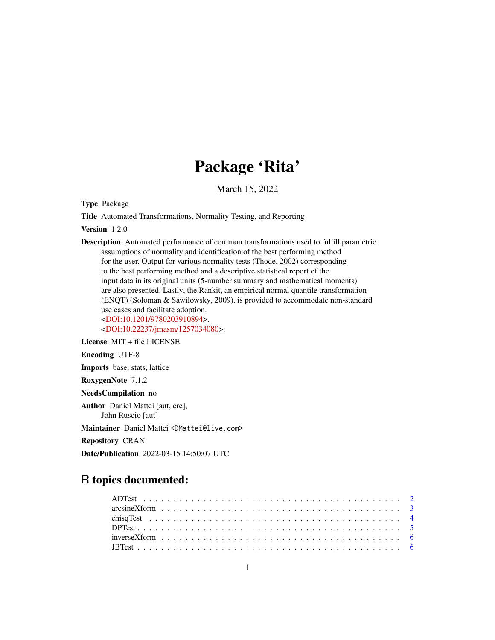# Package 'Rita'

March 15, 2022

Type Package

Title Automated Transformations, Normality Testing, and Reporting

Version 1.2.0

Description Automated performance of common transformations used to fulfill parametric assumptions of normality and identification of the best performing method for the user. Output for various normality tests (Thode, 2002) corresponding to the best performing method and a descriptive statistical report of the input data in its original units (5-number summary and mathematical moments) are also presented. Lastly, the Rankit, an empirical normal quantile transformation (ENQT) (Soloman & Sawilowsky, 2009), is provided to accommodate non-standard use cases and facilitate adoption. [<DOI:10.1201/9780203910894>](https://doi.org/10.1201/9780203910894). [<DOI:10.22237/jmasm/1257034080>](https://doi.org/10.22237/jmasm/1257034080).

License MIT + file LICENSE Encoding UTF-8 Imports base, stats, lattice RoxygenNote 7.1.2 NeedsCompilation no Author Daniel Mattei [aut, cre], John Ruscio [aut] Maintainer Daniel Mattei <DMattei@live.com> Repository CRAN

Date/Publication 2022-03-15 14:50:07 UTC

# R topics documented: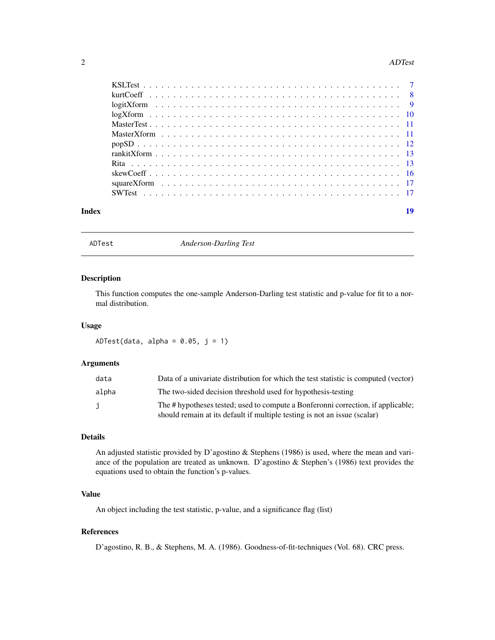#### <span id="page-1-0"></span>2 ADTest

| Index |  |  |  |  |  |  |  |  |  |  |  |  |  |  |  |  |  |  | 10 |
|-------|--|--|--|--|--|--|--|--|--|--|--|--|--|--|--|--|--|--|----|

ADTest *Anderson-Darling Test*

# Description

This function computes the one-sample Anderson-Darling test statistic and p-value for fit to a normal distribution.

#### Usage

ADTest(data, alpha =  $0.05$ ,  $j = 1$ )

# Arguments

| data  | Data of a univariate distribution for which the test statistic is computed (vector)                                                                           |
|-------|---------------------------------------------------------------------------------------------------------------------------------------------------------------|
| alpha | The two-sided decision threshold used for hypothesis-testing                                                                                                  |
| j     | The # hypotheses tested; used to compute a Bonferonni correction, if applicable;<br>should remain at its default if multiple testing is not an issue (scalar) |

#### Details

An adjusted statistic provided by D'agostino & Stephens (1986) is used, where the mean and variance of the population are treated as unknown. D'agostino & Stephen's (1986) text provides the equations used to obtain the function's p-values.

# Value

An object including the test statistic, p-value, and a significance flag (list)

# References

D'agostino, R. B., & Stephens, M. A. (1986). Goodness-of-fit-techniques (Vol. 68). CRC press.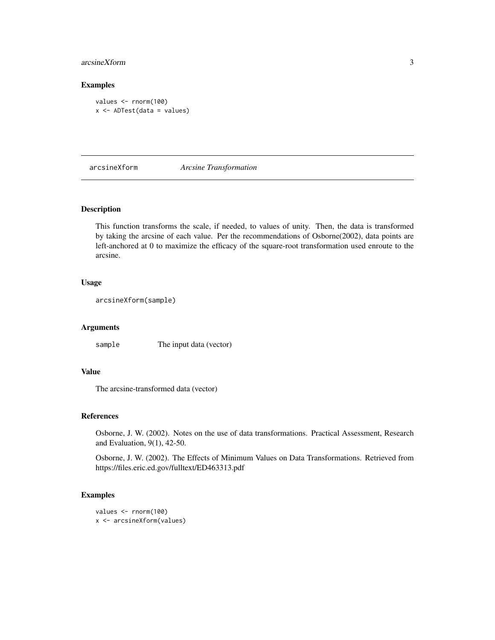# <span id="page-2-0"></span>arcsineXform 3

# Examples

```
values <- rnorm(100)
x <- ADTest(data = values)
```
arcsineXform *Arcsine Transformation*

# Description

This function transforms the scale, if needed, to values of unity. Then, the data is transformed by taking the arcsine of each value. Per the recommendations of Osborne(2002), data points are left-anchored at 0 to maximize the efficacy of the square-root transformation used enroute to the arcsine.

#### Usage

arcsineXform(sample)

#### Arguments

sample The input data (vector)

# Value

The arcsine-transformed data (vector)

#### References

Osborne, J. W. (2002). Notes on the use of data transformations. Practical Assessment, Research and Evaluation, 9(1), 42-50.

Osborne, J. W. (2002). The Effects of Minimum Values on Data Transformations. Retrieved from https://files.eric.ed.gov/fulltext/ED463313.pdf

```
values <- rnorm(100)
x <- arcsineXform(values)
```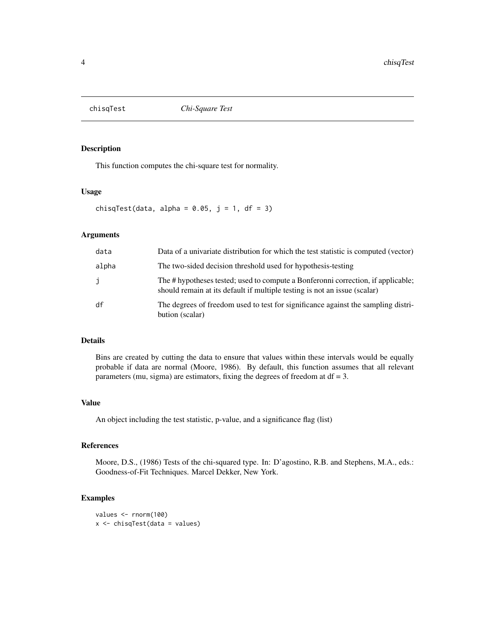<span id="page-3-0"></span>

This function computes the chi-square test for normality.

#### Usage

chisqTest(data, alpha =  $0.05$ , j = 1, df = 3)

#### Arguments

| data  | Data of a univariate distribution for which the test statistic is computed (vector)                                                                           |
|-------|---------------------------------------------------------------------------------------------------------------------------------------------------------------|
| alpha | The two-sided decision threshold used for hypothesis-testing                                                                                                  |
| j     | The # hypotheses tested; used to compute a Bonferonni correction, if applicable;<br>should remain at its default if multiple testing is not an issue (scalar) |
| df    | The degrees of freedom used to test for significance against the sampling distri-<br>bution (scalar)                                                          |

# Details

Bins are created by cutting the data to ensure that values within these intervals would be equally probable if data are normal (Moore, 1986). By default, this function assumes that all relevant parameters (mu, sigma) are estimators, fixing the degrees of freedom at  $df = 3$ .

#### Value

An object including the test statistic, p-value, and a significance flag (list)

# References

Moore, D.S., (1986) Tests of the chi-squared type. In: D'agostino, R.B. and Stephens, M.A., eds.: Goodness-of-Fit Techniques. Marcel Dekker, New York.

```
values <- rnorm(100)
x <- chisqTest(data = values)
```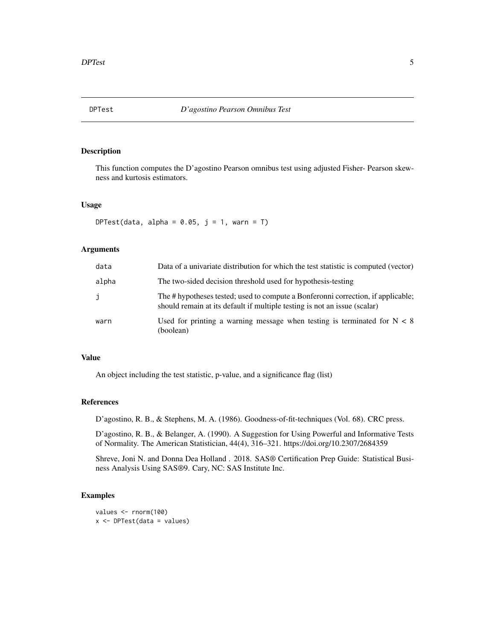<span id="page-4-0"></span>

This function computes the D'agostino Pearson omnibus test using adjusted Fisher- Pearson skewness and kurtosis estimators.

# Usage

DPTest(data, alpha =  $0.05$ , j = 1, warn = T)

# Arguments

| data  | Data of a univariate distribution for which the test statistic is computed (vector)                                                                           |
|-------|---------------------------------------------------------------------------------------------------------------------------------------------------------------|
| alpha | The two-sided decision threshold used for hypothesis-testing                                                                                                  |
| Ĵ     | The # hypotheses tested; used to compute a Bonferonni correction, if applicable;<br>should remain at its default if multiple testing is not an issue (scalar) |
| warn  | Used for printing a warning message when testing is terminated for $N < 8$<br>(boolean)                                                                       |

#### Value

An object including the test statistic, p-value, and a significance flag (list)

# References

D'agostino, R. B., & Stephens, M. A. (1986). Goodness-of-fit-techniques (Vol. 68). CRC press.

D'agostino, R. B., & Belanger, A. (1990). A Suggestion for Using Powerful and Informative Tests of Normality. The American Statistician, 44(4), 316–321. https://doi.org/10.2307/2684359

Shreve, Joni N. and Donna Dea Holland . 2018. SAS® Certification Prep Guide: Statistical Business Analysis Using SAS®9. Cary, NC: SAS Institute Inc.

```
values <- rnorm(100)
x <- DPTest(data = values)
```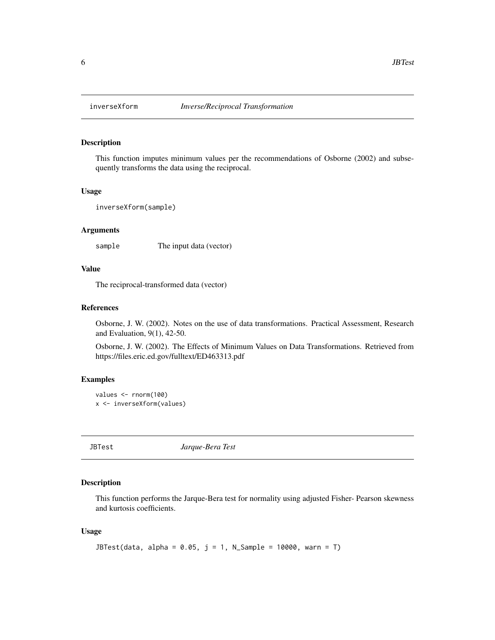This function imputes minimum values per the recommendations of Osborne (2002) and subsequently transforms the data using the reciprocal.

#### Usage

```
inverseXform(sample)
```
#### Arguments

sample The input data (vector)

#### Value

The reciprocal-transformed data (vector)

# References

Osborne, J. W. (2002). Notes on the use of data transformations. Practical Assessment, Research and Evaluation, 9(1), 42-50.

Osborne, J. W. (2002). The Effects of Minimum Values on Data Transformations. Retrieved from https://files.eric.ed.gov/fulltext/ED463313.pdf

#### Examples

```
values <- rnorm(100)
x <- inverseXform(values)
```
JBTest *Jarque-Bera Test*

# Description

This function performs the Jarque-Bera test for normality using adjusted Fisher- Pearson skewness and kurtosis coefficients.

## Usage

```
JBTest(data, alpha = 0.05, j = 1, N_Sample = 10000, warn = T)
```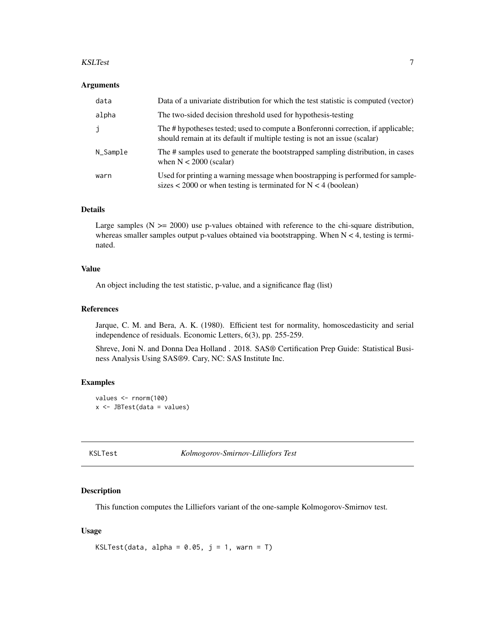#### <span id="page-6-0"></span>KSLTest 7

#### **Arguments**

| data     | Data of a univariate distribution for which the test statistic is computed (vector)                                                                           |
|----------|---------------------------------------------------------------------------------------------------------------------------------------------------------------|
| alpha    | The two-sided decision threshold used for hypothesis-testing                                                                                                  |
| j        | The # hypotheses tested; used to compute a Bonferonni correction, if applicable;<br>should remain at its default if multiple testing is not an issue (scalar) |
| N_Sample | The # samples used to generate the bootstrapped sampling distribution, in cases<br>when $N < 2000$ (scalar)                                                   |
| warn     | Used for printing a warning message when boostrapping is performed for sample-<br>sizes $\lt$ 2000 or when testing is terminated for N $\lt$ 4 (boolean)      |

# Details

Large samples  $(N \ge 2000)$  use p-values obtained with reference to the chi-square distribution, whereas smaller samples output p-values obtained via bootstrapping. When  $N < 4$ , testing is terminated.

#### Value

An object including the test statistic, p-value, and a significance flag (list)

#### References

Jarque, C. M. and Bera, A. K. (1980). Efficient test for normality, homoscedasticity and serial independence of residuals. Economic Letters, 6(3), pp. 255-259.

Shreve, Joni N. and Donna Dea Holland . 2018. SAS® Certification Prep Guide: Statistical Business Analysis Using SAS®9. Cary, NC: SAS Institute Inc.

# Examples

```
values <- rnorm(100)
x <- JBTest(data = values)
```
KSLTest *Kolmogorov-Smirnov-Lilliefors Test*

#### Description

This function computes the Lilliefors variant of the one-sample Kolmogorov-Smirnov test.

## Usage

```
KSLTest(data, alpha = 0.05, j = 1, warn = T)
```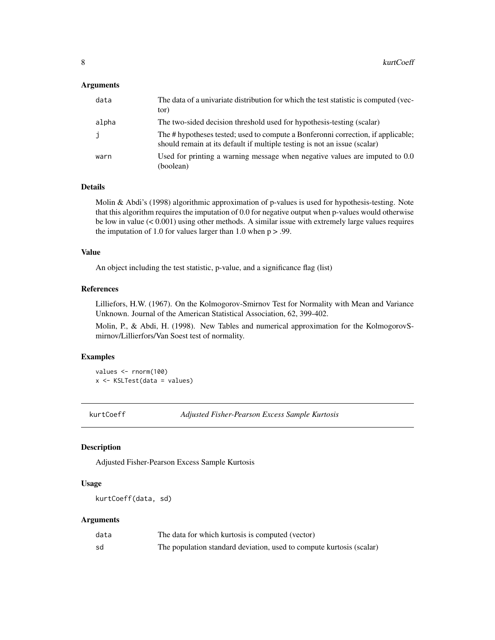#### <span id="page-7-0"></span>**Arguments**

| data  | The data of a univariate distribution for which the test statistic is computed (vec-<br>tor)                                                                  |
|-------|---------------------------------------------------------------------------------------------------------------------------------------------------------------|
| alpha | The two-sided decision threshold used for hypothesis-testing (scalar)                                                                                         |
| j     | The # hypotheses tested; used to compute a Bonferonni correction, if applicable;<br>should remain at its default if multiple testing is not an issue (scalar) |
| warn  | Used for printing a warning message when negative values are imputed to 0.0<br>(boolean)                                                                      |

# Details

Molin & Abdi's (1998) algorithmic approximation of p-values is used for hypothesis-testing. Note that this algorithm requires the imputation of 0.0 for negative output when p-values would otherwise be low in value (< 0.001) using other methods. A similar issue with extremely large values requires the imputation of 1.0 for values larger than 1.0 when  $p > .99$ .

#### Value

An object including the test statistic, p-value, and a significance flag (list)

# References

Lilliefors, H.W. (1967). On the Kolmogorov-Smirnov Test for Normality with Mean and Variance Unknown. Journal of the American Statistical Association, 62, 399-402.

Molin, P., & Abdi, H. (1998). New Tables and numerical approximation for the KolmogorovSmirnov/Lillierfors/Van Soest test of normality.

# Examples

```
values <- rnorm(100)
x <- KSLTest(data = values)
```
kurtCoeff *Adjusted Fisher-Pearson Excess Sample Kurtosis*

#### Description

Adjusted Fisher-Pearson Excess Sample Kurtosis

#### Usage

```
kurtCoeff(data, sd)
```
# Arguments

| data | The data for which kurtosis is computed (vector)                     |
|------|----------------------------------------------------------------------|
| sd   | The population standard deviation, used to compute kurtosis (scalar) |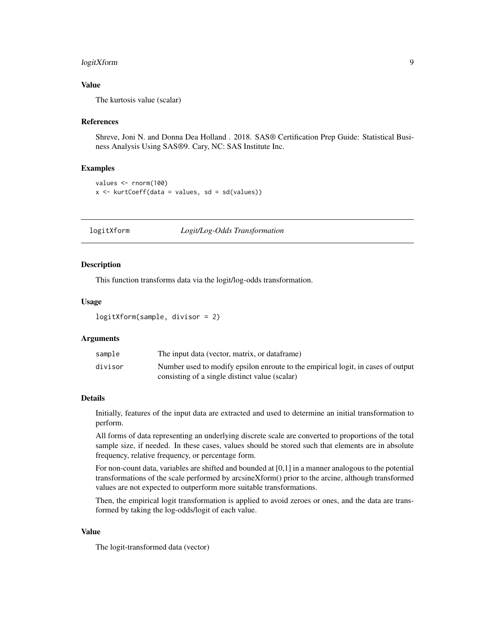# <span id="page-8-0"></span>logitXform 9

# Value

The kurtosis value (scalar)

#### References

Shreve, Joni N. and Donna Dea Holland . 2018. SAS® Certification Prep Guide: Statistical Business Analysis Using SAS®9. Cary, NC: SAS Institute Inc.

#### Examples

```
values <- rnorm(100)
x \le kurtCoeff(data = values, sd = sd(values))
```
logitXform *Logit/Log-Odds Transformation*

#### Description

This function transforms data via the logit/log-odds transformation.

# Usage

```
logitXform(sample, divisor = 2)
```
#### Arguments

| sample  | The input data (vector, matrix, or dataframe)                                    |
|---------|----------------------------------------------------------------------------------|
| divisor | Number used to modify epsilon enroute to the empirical logit, in cases of output |
|         | consisting of a single distinct value (scalar)                                   |

# Details

Initially, features of the input data are extracted and used to determine an initial transformation to perform.

All forms of data representing an underlying discrete scale are converted to proportions of the total sample size, if needed. In these cases, values should be stored such that elements are in absolute frequency, relative frequency, or percentage form.

For non-count data, variables are shifted and bounded at [0,1] in a manner analogous to the potential transformations of the scale performed by arcsineXform() prior to the arcine, although transformed values are not expected to outperform more suitable transformations.

Then, the empirical logit transformation is applied to avoid zeroes or ones, and the data are transformed by taking the log-odds/logit of each value.

#### Value

The logit-transformed data (vector)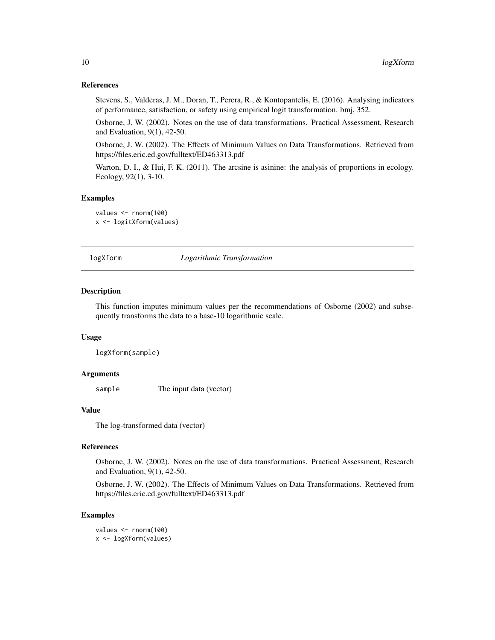#### References

Stevens, S., Valderas, J. M., Doran, T., Perera, R., & Kontopantelis, E. (2016). Analysing indicators of performance, satisfaction, or safety using empirical logit transformation. bmj, 352.

Osborne, J. W. (2002). Notes on the use of data transformations. Practical Assessment, Research and Evaluation, 9(1), 42-50.

Osborne, J. W. (2002). The Effects of Minimum Values on Data Transformations. Retrieved from https://files.eric.ed.gov/fulltext/ED463313.pdf

Warton, D. I., & Hui, F. K. (2011). The arcsine is asinine: the analysis of proportions in ecology. Ecology, 92(1), 3-10.

#### Examples

```
values <- rnorm(100)
x <- logitXform(values)
```
logXform *Logarithmic Transformation*

#### Description

This function imputes minimum values per the recommendations of Osborne (2002) and subsequently transforms the data to a base-10 logarithmic scale.

#### Usage

```
logXform(sample)
```
# Arguments

sample The input data (vector)

# Value

The log-transformed data (vector)

#### **References**

Osborne, J. W. (2002). Notes on the use of data transformations. Practical Assessment, Research and Evaluation, 9(1), 42-50.

Osborne, J. W. (2002). The Effects of Minimum Values on Data Transformations. Retrieved from https://files.eric.ed.gov/fulltext/ED463313.pdf

```
values <- rnorm(100)
x <- logXform(values)
```
<span id="page-9-0"></span>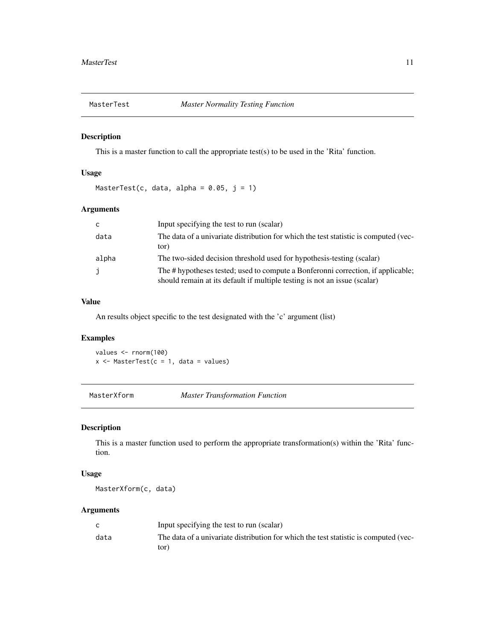<span id="page-10-0"></span>

This is a master function to call the appropriate test(s) to be used in the 'Rita' function.

# Usage

MasterTest(c, data, alpha =  $0.05$ ,  $j = 1$ )

# Arguments

| C     | Input specifying the test to run (scalar)                                                                                                                     |
|-------|---------------------------------------------------------------------------------------------------------------------------------------------------------------|
| data  | The data of a univariate distribution for which the test statistic is computed (vec-<br>tor)                                                                  |
| alpha | The two-sided decision threshold used for hypothesis-testing (scalar)                                                                                         |
| j     | The # hypotheses tested; used to compute a Bonferonni correction, if applicable;<br>should remain at its default if multiple testing is not an issue (scalar) |

### Value

An results object specific to the test designated with the 'c' argument (list)

# Examples

values <- rnorm(100)  $x \le -$  MasterTest( $c = 1$ , data = values)

MasterXform *Master Transformation Function*

# Description

This is a master function used to perform the appropriate transformation(s) within the 'Rita' function.

#### Usage

MasterXform(c, data)

# Arguments

|      | Input specifying the test to run (scalar)                                            |
|------|--------------------------------------------------------------------------------------|
| data | The data of a univariate distribution for which the test statistic is computed (vec- |
|      | tor)                                                                                 |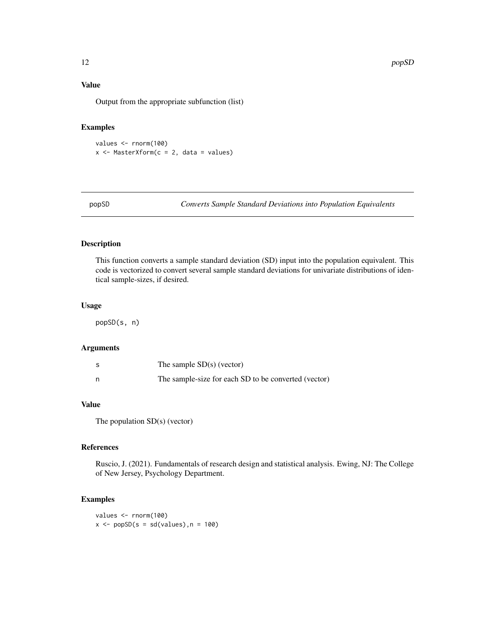# <span id="page-11-0"></span>Value

Output from the appropriate subfunction (list)

# Examples

```
values <- rnorm(100)
x <- MasterXform(c = 2, data = values)
```
popSD *Converts Sample Standard Deviations into Population Equivalents*

# Description

This function converts a sample standard deviation (SD) input into the population equivalent. This code is vectorized to convert several sample standard deviations for univariate distributions of identical sample-sizes, if desired.

#### Usage

popSD(s, n)

# Arguments

| The sample $SD(s)$ (vector)                          |
|------------------------------------------------------|
| The sample-size for each SD to be converted (vector) |

# Value

The population SD(s) (vector)

# References

Ruscio, J. (2021). Fundamentals of research design and statistical analysis. Ewing, NJ: The College of New Jersey, Psychology Department.

# Examples

values <- rnorm(100)  $x \le -p$ opSD $(s = sd(values), n = 100)$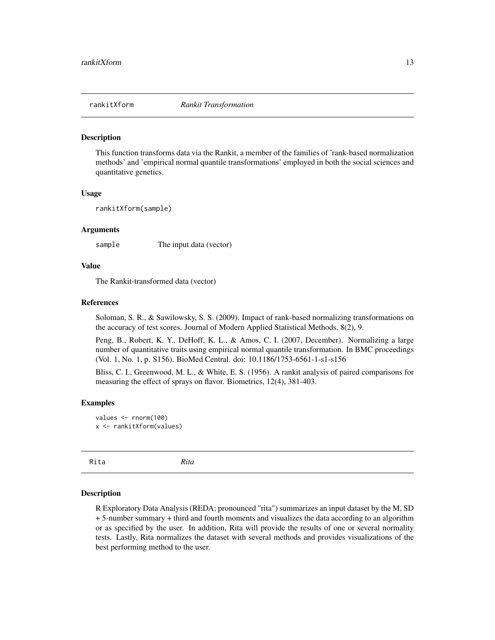<span id="page-12-0"></span>

This function transforms data via the Rankit, a member of the families of 'rank-based normalization methods' and 'empirical normal quantile transformations' employed in both the social sciences and quantitative genetics.

#### Usage

rankitXform(sample)

#### Arguments

sample The input data (vector)

#### Value

The Rankit-transformed data (vector)

#### References

Soloman, S. R., & Sawilowsky, S. S. (2009). Impact of rank-based normalizing transformations on the accuracy of test scores. Journal of Modern Applied Statistical Methods, 8(2), 9.

Peng, B., Robert, K. Y., DeHoff, K. L., & Amos, C. I. (2007, December). Normalizing a large number of quantitative traits using empirical normal quantile transformation. In BMC proceedings (Vol. 1, No. 1, p. S156). BioMed Central. doi: 10.1186/1753-6561-1-s1-s156

Bliss, C. I., Greenwood, M. L., & White, E. S. (1956). A rankit analysis of paired comparisons for measuring the effect of sprays on flavor. Biometrics, 12(4), 381-403.

#### Examples

```
values <- rnorm(100)
x <- rankitXform(values)
```
Rita *Rita*

#### Description

R Exploratory Data Analysis (REDA; pronounced "rita") summarizes an input dataset by the M, SD + 5-number summary + third and fourth moments and visualizes the data according to an algorithm or as specified by the user. In addition, Rita will provide the results of one or several normality tests. Lastly, Rita normalizes the dataset with several methods and provides visualizations of the best performing method to the user.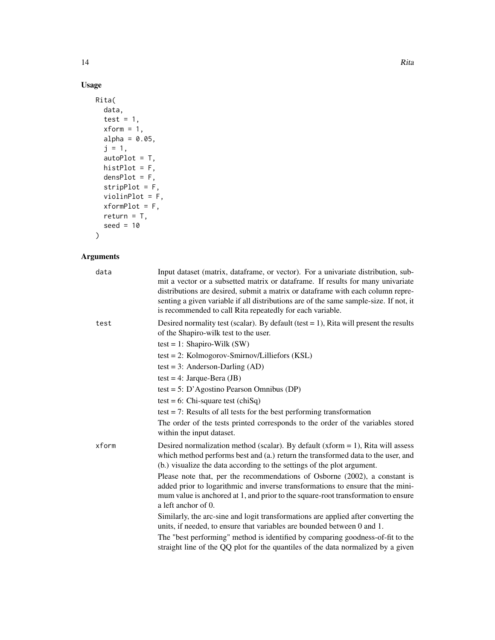# Usage

```
Rita(
  data,
  test = 1,xform = 1,alpha = 0.05,
  j = 1,autoPlot = T,
  histPlot = F,
  densPlot = F,
  stripPlot = F,
  violinPlot = F,
  xformPlot = F,
  return = T,
  seed = 10
\mathcal{L}
```
# Arguments

| Input dataset (matrix, dataframe, or vector). For a univariate distribution, sub-<br>mit a vector or a subsetted matrix or dataframe. If results for many univariate<br>distributions are desired, submit a matrix or data frame with each column repre-<br>senting a given variable if all distributions are of the same sample-size. If not, it<br>is recommended to call Rita repeatedly for each variable. |
|----------------------------------------------------------------------------------------------------------------------------------------------------------------------------------------------------------------------------------------------------------------------------------------------------------------------------------------------------------------------------------------------------------------|
| Desired normality test (scalar). By default (test $= 1$ ), Rita will present the results<br>of the Shapiro-wilk test to the user.                                                                                                                                                                                                                                                                              |
| test = 1: Shapiro-Wilk $(SW)$                                                                                                                                                                                                                                                                                                                                                                                  |
| $test = 2$ : Kolmogorov-Smirnov/Lilliefors (KSL)                                                                                                                                                                                                                                                                                                                                                               |
| test = 3: Anderson-Darling $(AD)$                                                                                                                                                                                                                                                                                                                                                                              |
| test = 4: Jarque-Bera $(JB)$                                                                                                                                                                                                                                                                                                                                                                                   |
| test = 5: D'Agostino Pearson Omnibus (DP)                                                                                                                                                                                                                                                                                                                                                                      |
| test = 6: Chi-square test (chiSq)                                                                                                                                                                                                                                                                                                                                                                              |
| test $= 7$ : Results of all tests for the best performing transformation                                                                                                                                                                                                                                                                                                                                       |
| The order of the tests printed corresponds to the order of the variables stored<br>within the input dataset.                                                                                                                                                                                                                                                                                                   |
| Desired normalization method (scalar). By default (xform $= 1$ ), Rita will assess<br>which method performs best and (a.) return the transformed data to the user, and<br>(b.) visualize the data according to the settings of the plot argument.                                                                                                                                                              |
| Please note that, per the recommendations of Osborne (2002), a constant is<br>added prior to logarithmic and inverse transformations to ensure that the mini-<br>mum value is anchored at 1, and prior to the square-root transformation to ensure<br>a left anchor of 0.                                                                                                                                      |
| Similarly, the arc-sine and logit transformations are applied after converting the<br>units, if needed, to ensure that variables are bounded between 0 and 1.                                                                                                                                                                                                                                                  |
| The "best performing" method is identified by comparing goodness-of-fit to the<br>straight line of the QQ plot for the quantiles of the data normalized by a given                                                                                                                                                                                                                                             |
|                                                                                                                                                                                                                                                                                                                                                                                                                |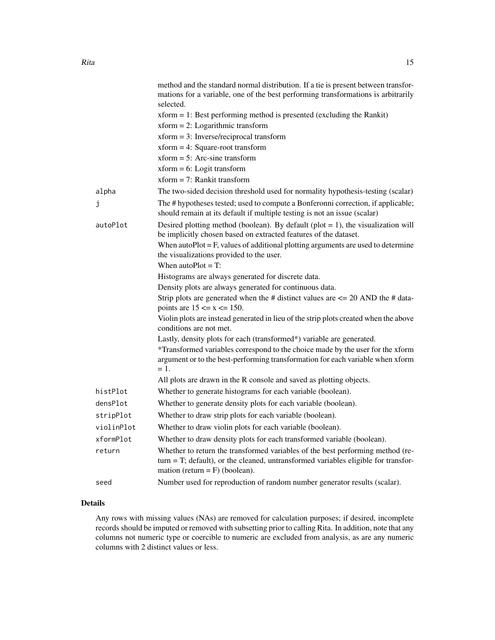|            | method and the standard normal distribution. If a tie is present between transfor-<br>mations for a variable, one of the best performing transformations is arbitrarily<br>selected.                         |
|------------|--------------------------------------------------------------------------------------------------------------------------------------------------------------------------------------------------------------|
|            | $xform = 1$ : Best performing method is presented (excluding the Rankit)                                                                                                                                     |
|            | $xform = 2$ : Logarithmic transform                                                                                                                                                                          |
|            | $xform = 3$ : Inverse/reciprocal transform                                                                                                                                                                   |
|            | $xform = 4$ : Square-root transform                                                                                                                                                                          |
|            | $xform = 5$ : Arc-sine transform                                                                                                                                                                             |
|            | $xform = 6$ : Logit transform                                                                                                                                                                                |
|            | $xform = 7$ : Rankit transform                                                                                                                                                                               |
| alpha      | The two-sided decision threshold used for normality hypothesis-testing (scalar)                                                                                                                              |
| j          | The # hypotheses tested; used to compute a Bonferonni correction, if applicable;<br>should remain at its default if multiple testing is not an issue (scalar)                                                |
| autoPlot   | Desired plotting method (boolean). By default (plot $= 1$ ), the visualization will<br>be implicitly chosen based on extracted features of the dataset.                                                      |
|            | When autoPlot $=$ F, values of additional plotting arguments are used to determine<br>the visualizations provided to the user.                                                                               |
|            | When $autoPlot = T$ :                                                                                                                                                                                        |
|            | Histograms are always generated for discrete data.                                                                                                                                                           |
|            | Density plots are always generated for continuous data.                                                                                                                                                      |
|            | Strip plots are generated when the # distinct values are $\leq$ 20 AND the # data-<br>points are $15 \le x \le 150$ .                                                                                        |
|            | Violin plots are instead generated in lieu of the strip plots created when the above<br>conditions are not met.                                                                                              |
|            | Lastly, density plots for each (transformed*) variable are generated.                                                                                                                                        |
|            | *Transformed variables correspond to the choice made by the user for the xform<br>argument or to the best-performing transformation for each variable when xform<br>$=1.$                                    |
|            | All plots are drawn in the R console and saved as plotting objects.                                                                                                                                          |
| histPlot   | Whether to generate histograms for each variable (boolean).                                                                                                                                                  |
| densPlot   | Whether to generate density plots for each variable (boolean).                                                                                                                                               |
| stripPlot  | Whether to draw strip plots for each variable (boolean).                                                                                                                                                     |
| violinPlot | Whether to draw violin plots for each variable (boolean).                                                                                                                                                    |
| xformPlot  | Whether to draw density plots for each transformed variable (boolean).                                                                                                                                       |
| return     | Whether to return the transformed variables of the best performing method (re-<br>$turn = T$ ; default), or the cleaned, untransformed variables eligible for transfor-<br>mation (return = $F$ ) (boolean). |
| seed       | Number used for reproduction of random number generator results (scalar).                                                                                                                                    |

# Details

Any rows with missing values (NAs) are removed for calculation purposes; if desired, incomplete records should be imputed or removed with subsetting prior to calling Rita. In addition, note that any columns not numeric type or coercible to numeric are excluded from analysis, as are any numeric columns with 2 distinct values or less.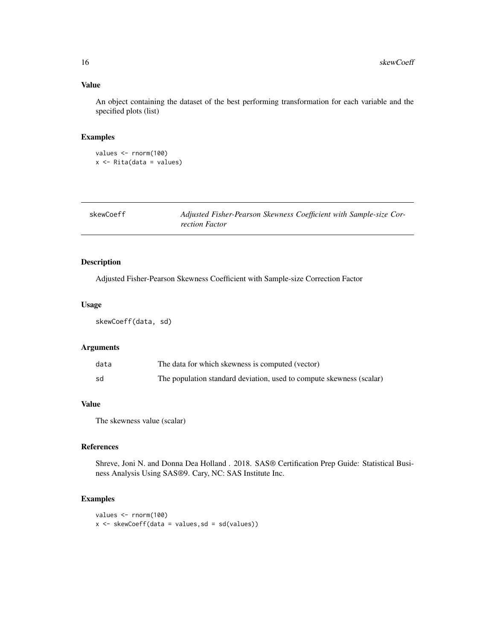# Value

An object containing the dataset of the best performing transformation for each variable and the specified plots (list)

# Examples

```
values <- rnorm(100)
x \leftarrow Rita(data = values)
```

| skewCoeff | Adjusted Fisher-Pearson Skewness Coefficient with Sample-size Cor- |
|-----------|--------------------------------------------------------------------|
|           | rection Factor                                                     |

# Description

Adjusted Fisher-Pearson Skewness Coefficient with Sample-size Correction Factor

#### Usage

skewCoeff(data, sd)

# Arguments

| data | The data for which skewness is computed (vector)                     |
|------|----------------------------------------------------------------------|
| sd   | The population standard deviation, used to compute skewness (scalar) |

# Value

The skewness value (scalar)

# References

Shreve, Joni N. and Donna Dea Holland . 2018. SAS® Certification Prep Guide: Statistical Business Analysis Using SAS®9. Cary, NC: SAS Institute Inc.

```
values <- rnorm(100)
x <- skewCoeff(data = values,sd = sd(values))
```
<span id="page-15-0"></span>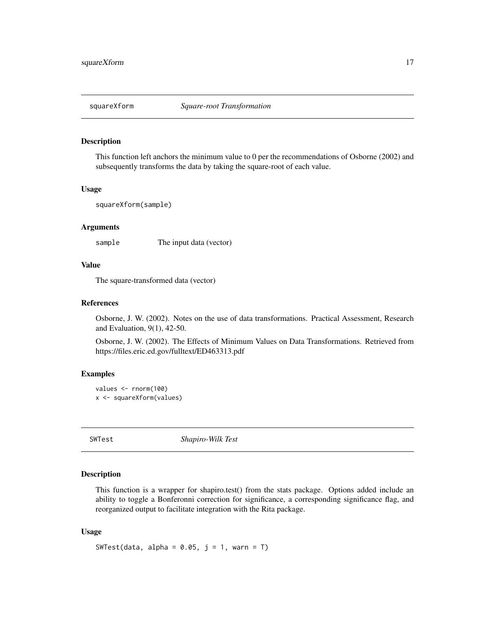<span id="page-16-0"></span>

This function left anchors the minimum value to 0 per the recommendations of Osborne (2002) and subsequently transforms the data by taking the square-root of each value.

#### Usage

```
squareXform(sample)
```
# Arguments

sample The input data (vector)

# Value

The square-transformed data (vector)

#### References

Osborne, J. W. (2002). Notes on the use of data transformations. Practical Assessment, Research and Evaluation, 9(1), 42-50.

Osborne, J. W. (2002). The Effects of Minimum Values on Data Transformations. Retrieved from https://files.eric.ed.gov/fulltext/ED463313.pdf

# Examples

```
values <- rnorm(100)
x <- squareXform(values)
```
SWTest *Shapiro-Wilk Test*

#### Description

This function is a wrapper for shapiro.test() from the stats package. Options added include an ability to toggle a Bonferonni correction for significance, a corresponding significance flag, and reorganized output to facilitate integration with the Rita package.

# Usage

```
SWTest(data, alpha = 0.05, j = 1, warn = T)
```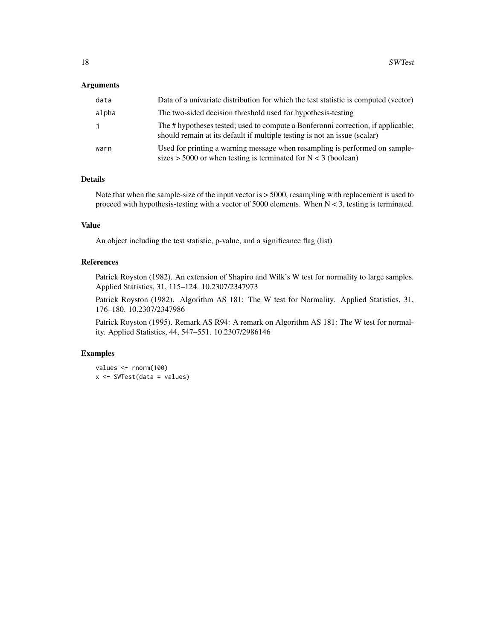#### Arguments

| data         | Data of a univariate distribution for which the test statistic is computed (vector)                                                                           |
|--------------|---------------------------------------------------------------------------------------------------------------------------------------------------------------|
| alpha        | The two-sided decision threshold used for hypothesis-testing                                                                                                  |
| $\mathbf{J}$ | The # hypotheses tested; used to compute a Bonferonni correction, if applicable;<br>should remain at its default if multiple testing is not an issue (scalar) |
| warn         | Used for printing a warning message when resampling is performed on sample-<br>sizes > 5000 or when testing is terminated for $N < 3$ (boolean)               |

# Details

Note that when the sample-size of the input vector is > 5000, resampling with replacement is used to proceed with hypothesis-testing with a vector of 5000 elements. When N < 3, testing is terminated.

# Value

An object including the test statistic, p-value, and a significance flag (list)

# References

Patrick Royston (1982). An extension of Shapiro and Wilk's W test for normality to large samples. Applied Statistics, 31, 115–124. 10.2307/2347973

Patrick Royston (1982). Algorithm AS 181: The W test for Normality. Applied Statistics, 31, 176–180. 10.2307/2347986

Patrick Royston (1995). Remark AS R94: A remark on Algorithm AS 181: The W test for normality. Applied Statistics, 44, 547–551. 10.2307/2986146

```
values <- rnorm(100)
x <- SWTest(data = values)
```